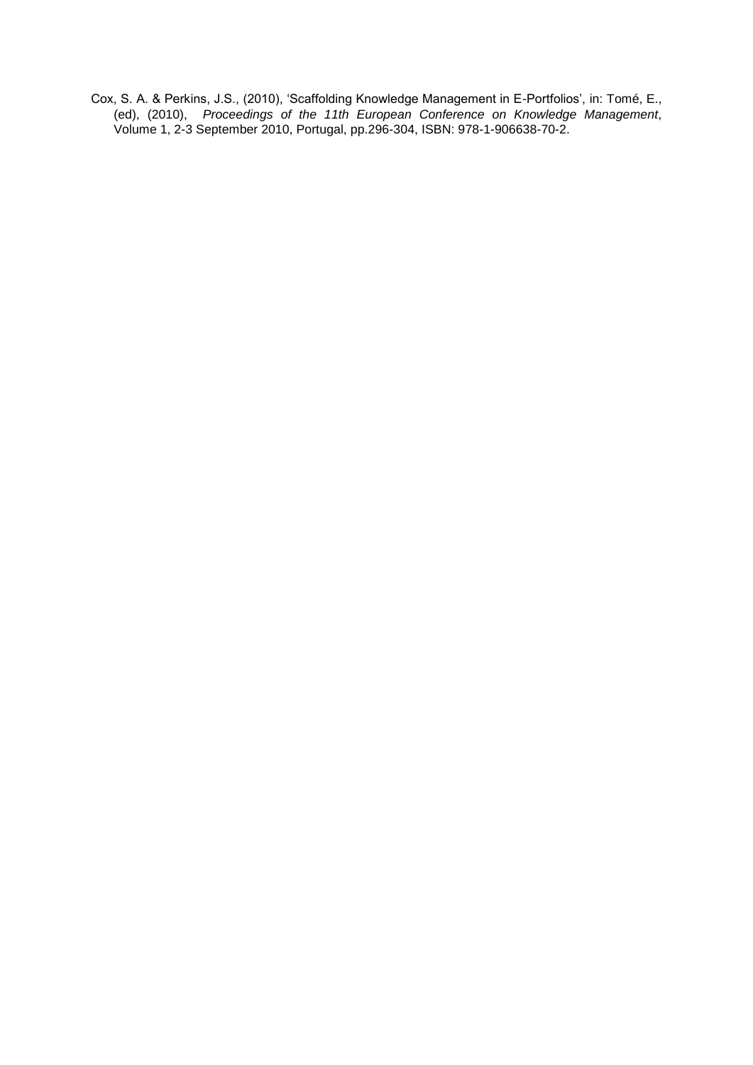Cox, S. A. & Perkins, J.S., (2010), 'Scaffolding Knowledge Management in E-Portfolios', in: Tomé, E., (ed), (2010), *Proceedings of the 11th European Conference on Knowledge Management*, Volume 1, 2-3 September 2010, Portugal, pp.296-304, ISBN: 978-1-906638-70-2.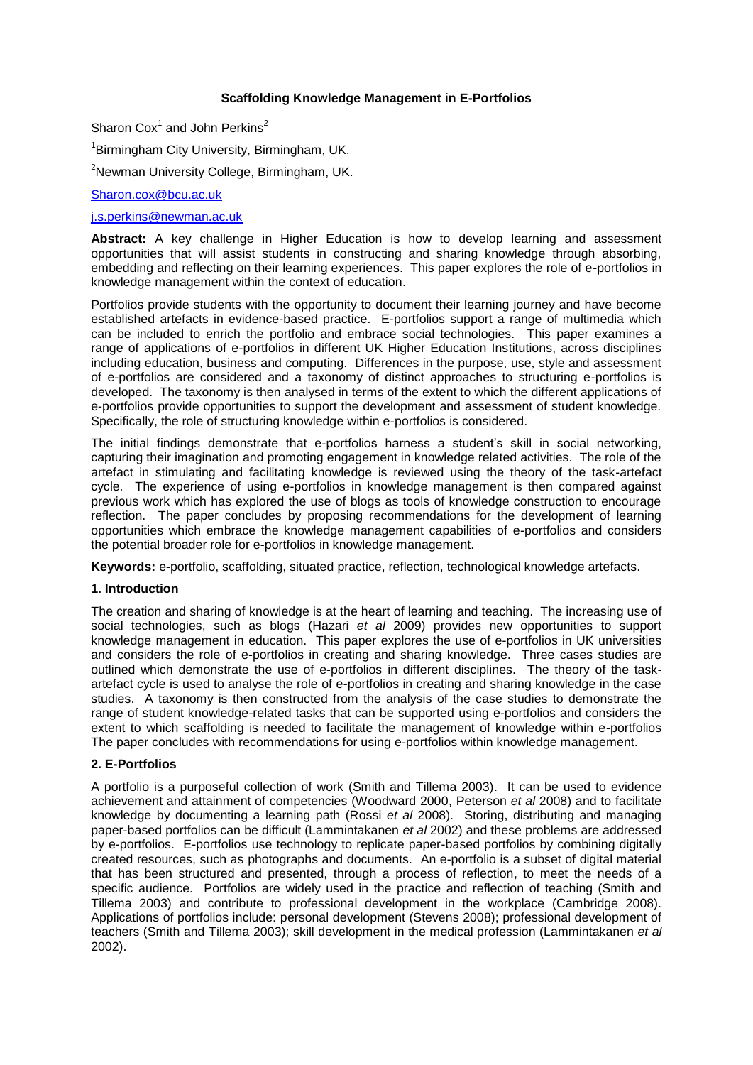# **Scaffolding Knowledge Management in E-Portfolios**

Sharon  $\text{Cox}^1$  and John Perkins<sup>2</sup>

<sup>1</sup>Birmingham City University, Birmingham, UK.

<sup>2</sup>Newman University College, Birmingham, UK.

#### [Sharon.cox@bcu.ac.uk](mailto:Sharon.cox@bcu.ac.uk)

## [j.s.perkins@newman.ac.uk](mailto:j.s.perkins@newman.ac.uk)

**Abstract:** A key challenge in Higher Education is how to develop learning and assessment opportunities that will assist students in constructing and sharing knowledge through absorbing, embedding and reflecting on their learning experiences. This paper explores the role of e-portfolios in knowledge management within the context of education.

Portfolios provide students with the opportunity to document their learning journey and have become established artefacts in evidence-based practice. E-portfolios support a range of multimedia which can be included to enrich the portfolio and embrace social technologies. This paper examines a range of applications of e-portfolios in different UK Higher Education Institutions, across disciplines including education, business and computing. Differences in the purpose, use, style and assessment of e-portfolios are considered and a taxonomy of distinct approaches to structuring e-portfolios is developed. The taxonomy is then analysed in terms of the extent to which the different applications of e-portfolios provide opportunities to support the development and assessment of student knowledge. Specifically, the role of structuring knowledge within e-portfolios is considered.

The initial findings demonstrate that e-portfolios harness a student"s skill in social networking, capturing their imagination and promoting engagement in knowledge related activities. The role of the artefact in stimulating and facilitating knowledge is reviewed using the theory of the task-artefact cycle. The experience of using e-portfolios in knowledge management is then compared against previous work which has explored the use of blogs as tools of knowledge construction to encourage reflection. The paper concludes by proposing recommendations for the development of learning opportunities which embrace the knowledge management capabilities of e-portfolios and considers the potential broader role for e-portfolios in knowledge management.

**Keywords:** e-portfolio, scaffolding, situated practice, reflection, technological knowledge artefacts.

## **1. Introduction**

The creation and sharing of knowledge is at the heart of learning and teaching. The increasing use of social technologies, such as blogs (Hazari *et al* 2009) provides new opportunities to support knowledge management in education. This paper explores the use of e-portfolios in UK universities and considers the role of e-portfolios in creating and sharing knowledge. Three cases studies are outlined which demonstrate the use of e-portfolios in different disciplines. The theory of the taskartefact cycle is used to analyse the role of e-portfolios in creating and sharing knowledge in the case studies. A taxonomy is then constructed from the analysis of the case studies to demonstrate the range of student knowledge-related tasks that can be supported using e-portfolios and considers the extent to which scaffolding is needed to facilitate the management of knowledge within e-portfolios The paper concludes with recommendations for using e-portfolios within knowledge management.

## **2. E-Portfolios**

A portfolio is a purposeful collection of work (Smith and Tillema 2003). It can be used to evidence achievement and attainment of competencies (Woodward 2000, Peterson *et al* 2008) and to facilitate knowledge by documenting a learning path (Rossi *et al* 2008). Storing, distributing and managing paper-based portfolios can be difficult (Lammintakanen *et al* 2002) and these problems are addressed by e-portfolios. E-portfolios use technology to replicate paper-based portfolios by combining digitally created resources, such as photographs and documents. An e-portfolio is a subset of digital material that has been structured and presented, through a process of reflection, to meet the needs of a specific audience. Portfolios are widely used in the practice and reflection of teaching (Smith and Tillema 2003) and contribute to professional development in the workplace (Cambridge 2008). Applications of portfolios include: personal development (Stevens 2008); professional development of teachers (Smith and Tillema 2003); skill development in the medical profession (Lammintakanen *et al* 2002).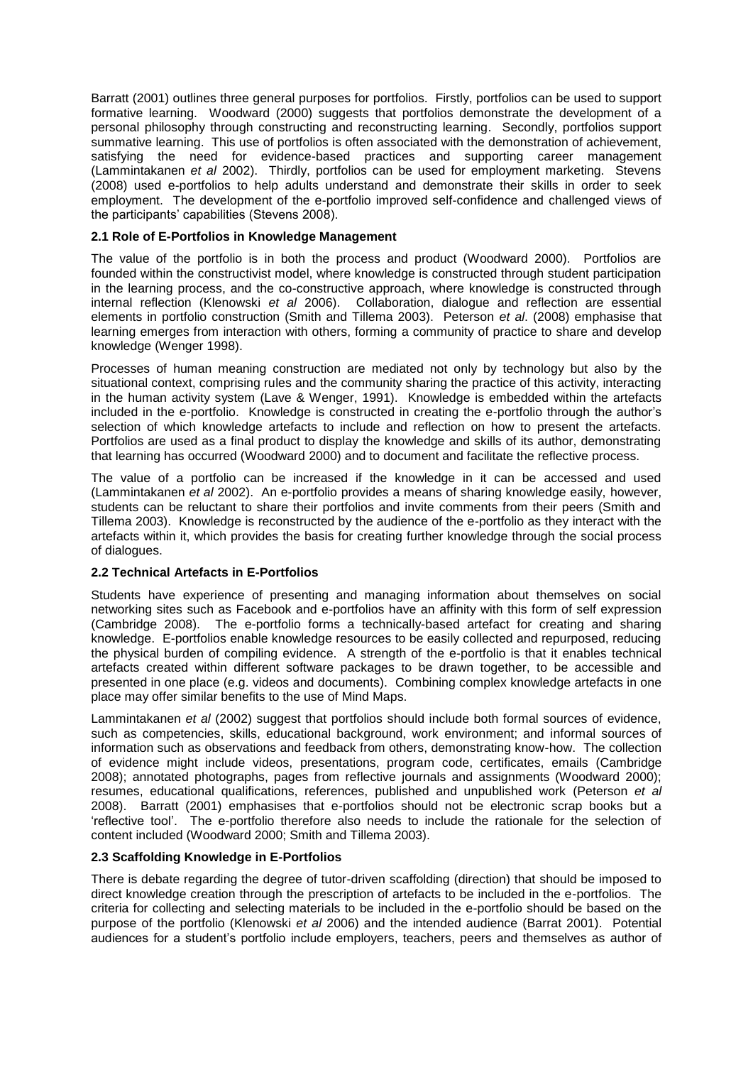Barratt (2001) outlines three general purposes for portfolios. Firstly, portfolios can be used to support formative learning. Woodward (2000) suggests that portfolios demonstrate the development of a personal philosophy through constructing and reconstructing learning. Secondly, portfolios support summative learning. This use of portfolios is often associated with the demonstration of achievement, satisfying the need for evidence-based practices and supporting career management (Lammintakanen *et al* 2002). Thirdly, portfolios can be used for employment marketing. Stevens (2008) used e-portfolios to help adults understand and demonstrate their skills in order to seek employment. The development of the e-portfolio improved self-confidence and challenged views of the participants' capabilities (Stevens 2008).

# **2.1 Role of E-Portfolios in Knowledge Management**

The value of the portfolio is in both the process and product (Woodward 2000). Portfolios are founded within the constructivist model, where knowledge is constructed through student participation in the learning process, and the co-constructive approach, where knowledge is constructed through internal reflection (Klenowski *et al* 2006). Collaboration, dialogue and reflection are essential elements in portfolio construction (Smith and Tillema 2003). Peterson *et al*. (2008) emphasise that learning emerges from interaction with others, forming a community of practice to share and develop knowledge (Wenger 1998).

Processes of human meaning construction are mediated not only by technology but also by the situational context, comprising rules and the community sharing the practice of this activity, interacting in the human activity system (Lave & Wenger, 1991). Knowledge is embedded within the artefacts included in the e-portfolio. Knowledge is constructed in creating the e-portfolio through the author"s selection of which knowledge artefacts to include and reflection on how to present the artefacts. Portfolios are used as a final product to display the knowledge and skills of its author, demonstrating that learning has occurred (Woodward 2000) and to document and facilitate the reflective process.

The value of a portfolio can be increased if the knowledge in it can be accessed and used (Lammintakanen *et al* 2002). An e-portfolio provides a means of sharing knowledge easily, however, students can be reluctant to share their portfolios and invite comments from their peers (Smith and Tillema 2003). Knowledge is reconstructed by the audience of the e-portfolio as they interact with the artefacts within it, which provides the basis for creating further knowledge through the social process of dialogues.

## **2.2 Technical Artefacts in E-Portfolios**

Students have experience of presenting and managing information about themselves on social networking sites such as Facebook and e-portfolios have an affinity with this form of self expression (Cambridge 2008). The e-portfolio forms a technically-based artefact for creating and sharing knowledge. E-portfolios enable knowledge resources to be easily collected and repurposed, reducing the physical burden of compiling evidence. A strength of the e-portfolio is that it enables technical artefacts created within different software packages to be drawn together, to be accessible and presented in one place (e.g. videos and documents). Combining complex knowledge artefacts in one place may offer similar benefits to the use of Mind Maps.

Lammintakanen *et al* (2002) suggest that portfolios should include both formal sources of evidence, such as competencies, skills, educational background, work environment; and informal sources of information such as observations and feedback from others, demonstrating know-how. The collection of evidence might include videos, presentations, program code, certificates, emails (Cambridge 2008); annotated photographs, pages from reflective journals and assignments (Woodward 2000); resumes, educational qualifications, references, published and unpublished work (Peterson *et al*  2008). Barratt (2001) emphasises that e-portfolios should not be electronic scrap books but a "reflective tool". The e-portfolio therefore also needs to include the rationale for the selection of content included (Woodward 2000; Smith and Tillema 2003).

## **2.3 Scaffolding Knowledge in E-Portfolios**

There is debate regarding the degree of tutor-driven scaffolding (direction) that should be imposed to direct knowledge creation through the prescription of artefacts to be included in the e-portfolios. The criteria for collecting and selecting materials to be included in the e-portfolio should be based on the purpose of the portfolio (Klenowski *et al* 2006) and the intended audience (Barrat 2001). Potential audiences for a student"s portfolio include employers, teachers, peers and themselves as author of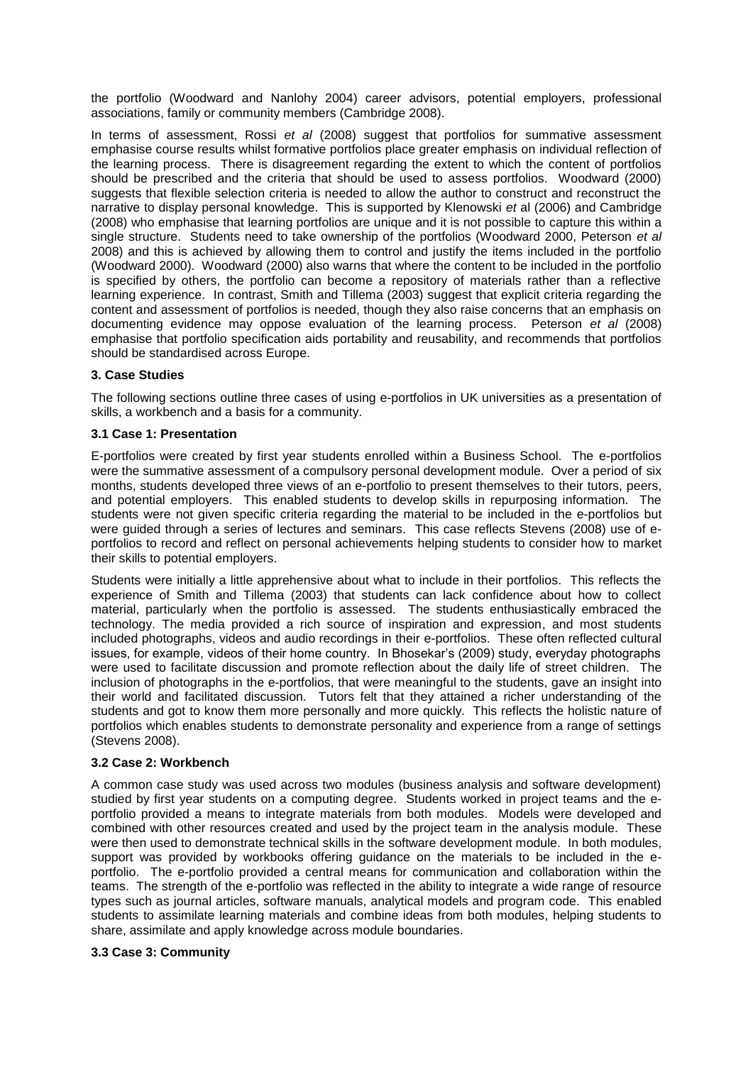the portfolio (Woodward and Nanlohy 2004) career advisors, potential employers, professional associations, family or community members (Cambridge 2008).

In terms of assessment, Rossi *et al* (2008) suggest that portfolios for summative assessment emphasise course results whilst formative portfolios place greater emphasis on individual reflection of the learning process. There is disagreement regarding the extent to which the content of portfolios should be prescribed and the criteria that should be used to assess portfolios. Woodward (2000) suggests that flexible selection criteria is needed to allow the author to construct and reconstruct the narrative to display personal knowledge. This is supported by Klenowski *et* al (2006) and Cambridge (2008) who emphasise that learning portfolios are unique and it is not possible to capture this within a single structure. Students need to take ownership of the portfolios (Woodward 2000, Peterson *et al*  2008) and this is achieved by allowing them to control and justify the items included in the portfolio (Woodward 2000). Woodward (2000) also warns that where the content to be included in the portfolio is specified by others, the portfolio can become a repository of materials rather than a reflective learning experience. In contrast, Smith and Tillema (2003) suggest that explicit criteria regarding the content and assessment of portfolios is needed, though they also raise concerns that an emphasis on documenting evidence may oppose evaluation of the learning process. Peterson *et al* (2008) emphasise that portfolio specification aids portability and reusability, and recommends that portfolios should be standardised across Europe.

# **3. Case Studies**

The following sections outline three cases of using e-portfolios in UK universities as a presentation of skills, a workbench and a basis for a community.

## **3.1 Case 1: Presentation**

E-portfolios were created by first year students enrolled within a Business School. The e-portfolios were the summative assessment of a compulsory personal development module. Over a period of six months, students developed three views of an e-portfolio to present themselves to their tutors, peers, and potential employers. This enabled students to develop skills in repurposing information. The students were not given specific criteria regarding the material to be included in the e-portfolios but were guided through a series of lectures and seminars. This case reflects Stevens (2008) use of eportfolios to record and reflect on personal achievements helping students to consider how to market their skills to potential employers.

Students were initially a little apprehensive about what to include in their portfolios. This reflects the experience of Smith and Tillema (2003) that students can lack confidence about how to collect material, particularly when the portfolio is assessed. The students enthusiastically embraced the technology. The media provided a rich source of inspiration and expression, and most students included photographs, videos and audio recordings in their e-portfolios. These often reflected cultural issues, for example, videos of their home country. In Bhosekar"s (2009) study, everyday photographs were used to facilitate discussion and promote reflection about the daily life of street children. The inclusion of photographs in the e-portfolios, that were meaningful to the students, gave an insight into their world and facilitated discussion. Tutors felt that they attained a richer understanding of the students and got to know them more personally and more quickly. This reflects the holistic nature of portfolios which enables students to demonstrate personality and experience from a range of settings (Stevens 2008).

## **3.2 Case 2: Workbench**

A common case study was used across two modules (business analysis and software development) studied by first year students on a computing degree. Students worked in project teams and the eportfolio provided a means to integrate materials from both modules. Models were developed and combined with other resources created and used by the project team in the analysis module. These were then used to demonstrate technical skills in the software development module. In both modules, support was provided by workbooks offering guidance on the materials to be included in the eportfolio. The e-portfolio provided a central means for communication and collaboration within the teams. The strength of the e-portfolio was reflected in the ability to integrate a wide range of resource types such as journal articles, software manuals, analytical models and program code. This enabled students to assimilate learning materials and combine ideas from both modules, helping students to share, assimilate and apply knowledge across module boundaries.

# **3.3 Case 3: Community**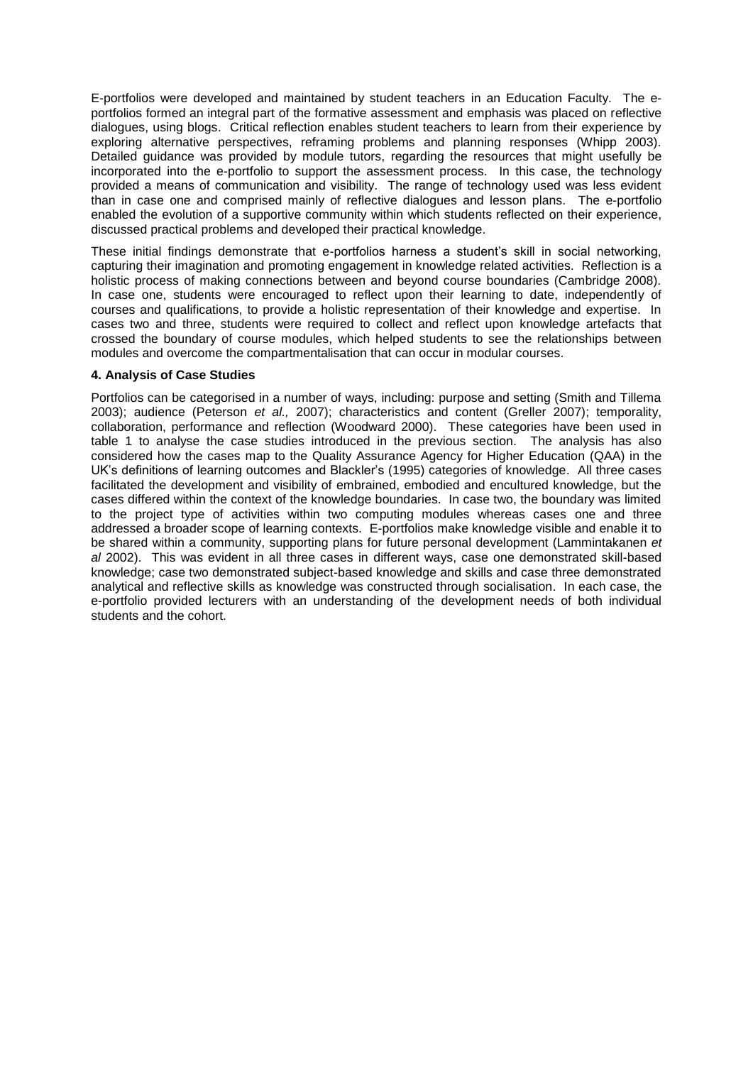E-portfolios were developed and maintained by student teachers in an Education Faculty. The eportfolios formed an integral part of the formative assessment and emphasis was placed on reflective dialogues, using blogs. Critical reflection enables student teachers to learn from their experience by exploring alternative perspectives, reframing problems and planning responses (Whipp 2003). Detailed guidance was provided by module tutors, regarding the resources that might usefully be incorporated into the e-portfolio to support the assessment process. In this case, the technology provided a means of communication and visibility. The range of technology used was less evident than in case one and comprised mainly of reflective dialogues and lesson plans. The e-portfolio enabled the evolution of a supportive community within which students reflected on their experience, discussed practical problems and developed their practical knowledge.

These initial findings demonstrate that e-portfolios harness a student's skill in social networking, capturing their imagination and promoting engagement in knowledge related activities. Reflection is a holistic process of making connections between and beyond course boundaries (Cambridge 2008). In case one, students were encouraged to reflect upon their learning to date, independently of courses and qualifications, to provide a holistic representation of their knowledge and expertise. In cases two and three, students were required to collect and reflect upon knowledge artefacts that crossed the boundary of course modules, which helped students to see the relationships between modules and overcome the compartmentalisation that can occur in modular courses.

## **4. Analysis of Case Studies**

Portfolios can be categorised in a number of ways, including: purpose and setting (Smith and Tillema 2003); audience (Peterson *et al.,* 2007); characteristics and content (Greller 2007); temporality, collaboration, performance and reflection (Woodward 2000). These categories have been used in table 1 to analyse the case studies introduced in the previous section. The analysis has also considered how the cases map to the Quality Assurance Agency for Higher Education (QAA) in the UK"s definitions of learning outcomes and Blackler"s (1995) categories of knowledge. All three cases facilitated the development and visibility of embrained, embodied and encultured knowledge, but the cases differed within the context of the knowledge boundaries. In case two, the boundary was limited to the project type of activities within two computing modules whereas cases one and three addressed a broader scope of learning contexts. E-portfolios make knowledge visible and enable it to be shared within a community, supporting plans for future personal development (Lammintakanen *et al* 2002). This was evident in all three cases in different ways, case one demonstrated skill-based knowledge; case two demonstrated subject-based knowledge and skills and case three demonstrated analytical and reflective skills as knowledge was constructed through socialisation. In each case, the e-portfolio provided lecturers with an understanding of the development needs of both individual students and the cohort.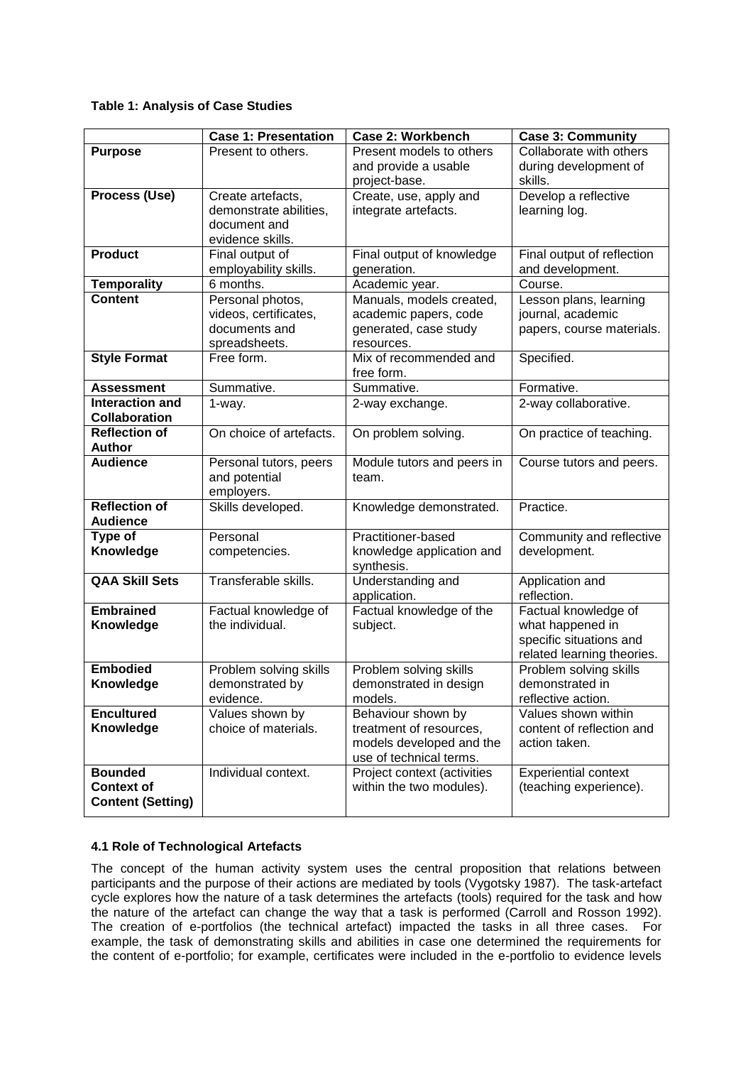# **Table 1: Analysis of Case Studies**

|                                             | <b>Case 1: Presentation</b> | <b>Case 2: Workbench</b>                            | <b>Case 3: Community</b>    |
|---------------------------------------------|-----------------------------|-----------------------------------------------------|-----------------------------|
| <b>Purpose</b>                              | Present to others.          | Present models to others                            | Collaborate with others     |
|                                             |                             | and provide a usable                                | during development of       |
|                                             |                             | project-base.                                       | skills.                     |
| Process (Use)                               | Create artefacts,           | Create, use, apply and                              | Develop a reflective        |
|                                             | demonstrate abilities,      | integrate artefacts.                                | learning log.               |
|                                             | document and                |                                                     |                             |
|                                             | evidence skills.            |                                                     |                             |
| <b>Product</b>                              | Final output of             | Final output of knowledge                           | Final output of reflection  |
|                                             | employability skills.       | generation.                                         | and development.            |
| <b>Temporality</b>                          | 6 months.                   | Academic year.                                      | Course.                     |
| <b>Content</b>                              | Personal photos,            | Manuals, models created,                            | Lesson plans, learning      |
|                                             | videos, certificates,       | academic papers, code                               | journal, academic           |
|                                             | documents and               | generated, case study                               | papers, course materials.   |
|                                             | spreadsheets.               | resources.                                          |                             |
| <b>Style Format</b>                         | Free form.                  | Mix of recommended and                              | Specified.                  |
|                                             |                             | free form.                                          |                             |
| <b>Assessment</b><br><b>Interaction and</b> | Summative.                  | Summative.                                          | Formative.                  |
| Collaboration                               | 1-way.                      | 2-way exchange.                                     | 2-way collaborative.        |
| <b>Reflection of</b>                        | On choice of artefacts.     | On problem solving.                                 | On practice of teaching.    |
| <b>Author</b>                               |                             |                                                     |                             |
| <b>Audience</b>                             | Personal tutors, peers      | Module tutors and peers in                          | Course tutors and peers.    |
|                                             | and potential<br>employers. | team.                                               |                             |
| <b>Reflection of</b>                        | Skills developed.           | Knowledge demonstrated.                             | Practice.                   |
| <b>Audience</b>                             |                             |                                                     |                             |
| Type of                                     | Personal                    | Practitioner-based                                  | Community and reflective    |
| Knowledge                                   | competencies.               | knowledge application and                           | development.                |
|                                             |                             | synthesis.                                          |                             |
| <b>QAA Skill Sets</b>                       | Transferable skills.        | Understanding and                                   | Application and             |
|                                             |                             | application.                                        | reflection.                 |
| <b>Embrained</b>                            | Factual knowledge of        | Factual knowledge of the                            | Factual knowledge of        |
| Knowledge                                   | the individual.             | subject.                                            | what happened in            |
|                                             |                             |                                                     | specific situations and     |
|                                             |                             |                                                     | related learning theories.  |
| <b>Embodied</b>                             | Problem solving skills      | Problem solving skills                              | Problem solving skills      |
| Knowledge                                   | demonstrated by             | demonstrated in design                              | demonstrated in             |
|                                             | evidence.                   | models.                                             | reflective action.          |
| <b>Encultured</b>                           | Values shown by             | Behaviour shown by                                  | Values shown within         |
| Knowledge                                   | choice of materials.        | treatment of resources,                             | content of reflection and   |
|                                             |                             | models developed and the<br>use of technical terms. | action taken.               |
| <b>Bounded</b>                              | Individual context.         | Project context (activities                         | <b>Experiential context</b> |
| <b>Context of</b>                           |                             | within the two modules).                            | (teaching experience).      |
| <b>Content (Setting)</b>                    |                             |                                                     |                             |
|                                             |                             |                                                     |                             |

# **4.1 Role of Technological Artefacts**

The concept of the human activity system uses the central proposition that relations between participants and the purpose of their actions are mediated by tools (Vygotsky 1987). The task-artefact cycle explores how the nature of a task determines the artefacts (tools) required for the task and how the nature of the artefact can change the way that a task is performed (Carroll and Rosson 1992). The creation of e-portfolios (the technical artefact) impacted the tasks in all three cases. For example, the task of demonstrating skills and abilities in case one determined the requirements for the content of e-portfolio; for example, certificates were included in the e-portfolio to evidence levels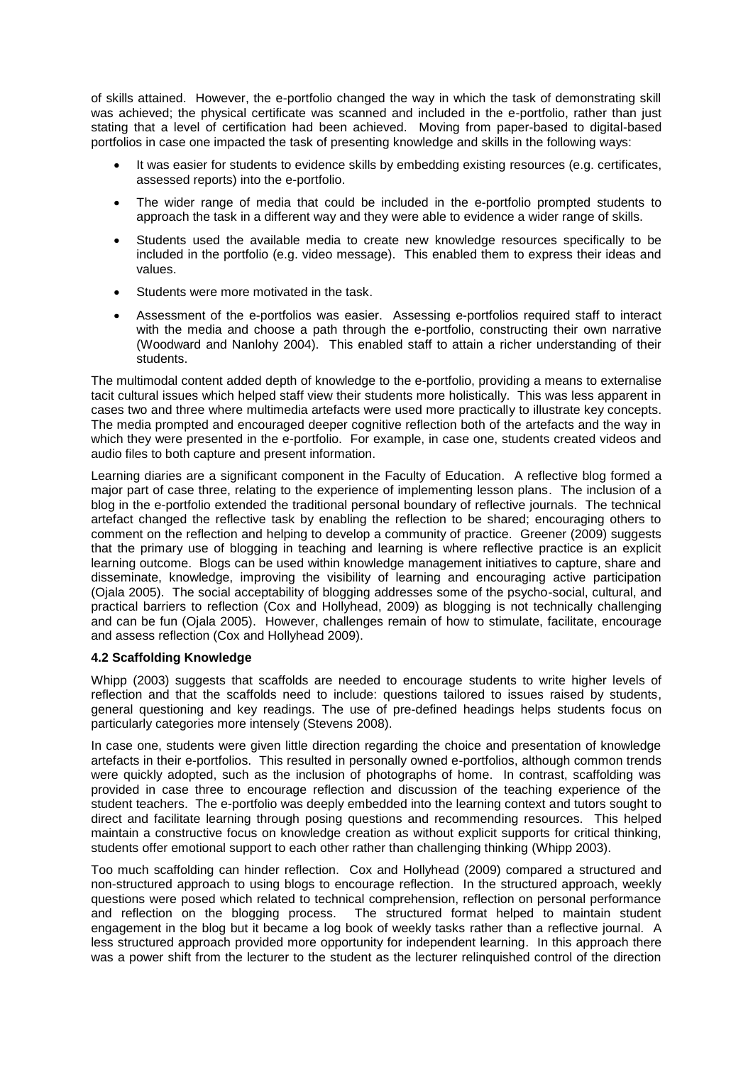of skills attained. However, the e-portfolio changed the way in which the task of demonstrating skill was achieved; the physical certificate was scanned and included in the e-portfolio, rather than just stating that a level of certification had been achieved. Moving from paper-based to digital-based portfolios in case one impacted the task of presenting knowledge and skills in the following ways:

- It was easier for students to evidence skills by embedding existing resources (e.g. certificates, assessed reports) into the e-portfolio.
- The wider range of media that could be included in the e-portfolio prompted students to approach the task in a different way and they were able to evidence a wider range of skills.
- Students used the available media to create new knowledge resources specifically to be included in the portfolio (e.g. video message). This enabled them to express their ideas and values.
- Students were more motivated in the task.
- Assessment of the e-portfolios was easier. Assessing e-portfolios required staff to interact with the media and choose a path through the e-portfolio, constructing their own narrative (Woodward and Nanlohy 2004). This enabled staff to attain a richer understanding of their students.

The multimodal content added depth of knowledge to the e-portfolio, providing a means to externalise tacit cultural issues which helped staff view their students more holistically. This was less apparent in cases two and three where multimedia artefacts were used more practically to illustrate key concepts. The media prompted and encouraged deeper cognitive reflection both of the artefacts and the way in which they were presented in the e-portfolio. For example, in case one, students created videos and audio files to both capture and present information.

Learning diaries are a significant component in the Faculty of Education. A reflective blog formed a major part of case three, relating to the experience of implementing lesson plans. The inclusion of a blog in the e-portfolio extended the traditional personal boundary of reflective journals. The technical artefact changed the reflective task by enabling the reflection to be shared; encouraging others to comment on the reflection and helping to develop a community of practice. Greener (2009) suggests that the primary use of blogging in teaching and learning is where reflective practice is an explicit learning outcome. Blogs can be used within knowledge management initiatives to capture, share and disseminate, knowledge, improving the visibility of learning and encouraging active participation (Ojala 2005). The social acceptability of blogging addresses some of the psycho-social, cultural, and practical barriers to reflection (Cox and Hollyhead, 2009) as blogging is not technically challenging and can be fun (Ojala 2005). However, challenges remain of how to stimulate, facilitate, encourage and assess reflection (Cox and Hollyhead 2009).

## **4.2 Scaffolding Knowledge**

Whipp (2003) suggests that scaffolds are needed to encourage students to write higher levels of reflection and that the scaffolds need to include: questions tailored to issues raised by students, general questioning and key readings. The use of pre-defined headings helps students focus on particularly categories more intensely (Stevens 2008).

In case one, students were given little direction regarding the choice and presentation of knowledge artefacts in their e-portfolios. This resulted in personally owned e-portfolios, although common trends were quickly adopted, such as the inclusion of photographs of home. In contrast, scaffolding was provided in case three to encourage reflection and discussion of the teaching experience of the student teachers. The e-portfolio was deeply embedded into the learning context and tutors sought to direct and facilitate learning through posing questions and recommending resources. This helped maintain a constructive focus on knowledge creation as without explicit supports for critical thinking, students offer emotional support to each other rather than challenging thinking (Whipp 2003).

Too much scaffolding can hinder reflection. Cox and Hollyhead (2009) compared a structured and non-structured approach to using blogs to encourage reflection. In the structured approach, weekly questions were posed which related to technical comprehension, reflection on personal performance and reflection on the blogging process. The structured format helped to maintain student engagement in the blog but it became a log book of weekly tasks rather than a reflective journal. A less structured approach provided more opportunity for independent learning. In this approach there was a power shift from the lecturer to the student as the lecturer relinquished control of the direction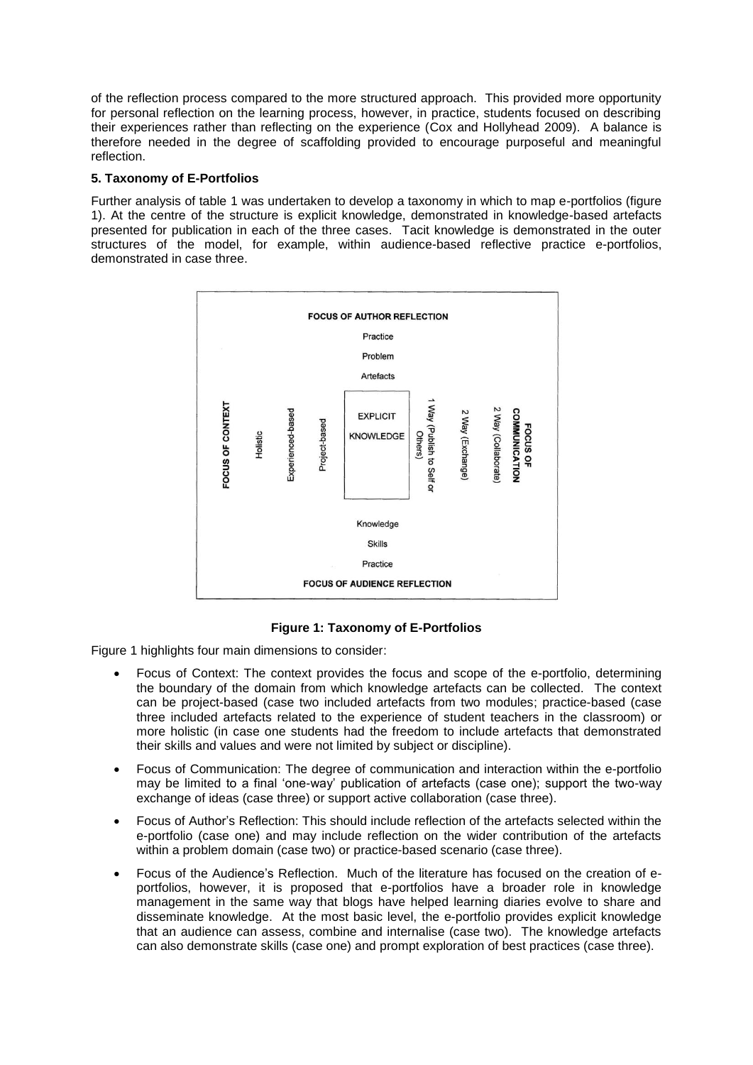of the reflection process compared to the more structured approach. This provided more opportunity for personal reflection on the learning process, however, in practice, students focused on describing their experiences rather than reflecting on the experience (Cox and Hollyhead 2009). A balance is therefore needed in the degree of scaffolding provided to encourage purposeful and meaningful reflection.

# **5. Taxonomy of E-Portfolios**

Further analysis of table 1 was undertaken to develop a taxonomy in which to map e-portfolios (figure 1). At the centre of the structure is explicit knowledge, demonstrated in knowledge-based artefacts presented for publication in each of the three cases. Tacit knowledge is demonstrated in the outer structures of the model, for example, within audience-based reflective practice e-portfolios, demonstrated in case three.



# **Figure 1: Taxonomy of E-Portfolios**

Figure 1 highlights four main dimensions to consider:

- Focus of Context: The context provides the focus and scope of the e-portfolio, determining the boundary of the domain from which knowledge artefacts can be collected. The context can be project-based (case two included artefacts from two modules; practice-based (case three included artefacts related to the experience of student teachers in the classroom) or more holistic (in case one students had the freedom to include artefacts that demonstrated their skills and values and were not limited by subject or discipline).
- Focus of Communication: The degree of communication and interaction within the e-portfolio may be limited to a final "one-way" publication of artefacts (case one); support the two-way exchange of ideas (case three) or support active collaboration (case three).
- Focus of Author"s Reflection: This should include reflection of the artefacts selected within the e-portfolio (case one) and may include reflection on the wider contribution of the artefacts within a problem domain (case two) or practice-based scenario (case three).
- Focus of the Audience"s Reflection. Much of the literature has focused on the creation of eportfolios, however, it is proposed that e-portfolios have a broader role in knowledge management in the same way that blogs have helped learning diaries evolve to share and disseminate knowledge. At the most basic level, the e-portfolio provides explicit knowledge that an audience can assess, combine and internalise (case two). The knowledge artefacts can also demonstrate skills (case one) and prompt exploration of best practices (case three).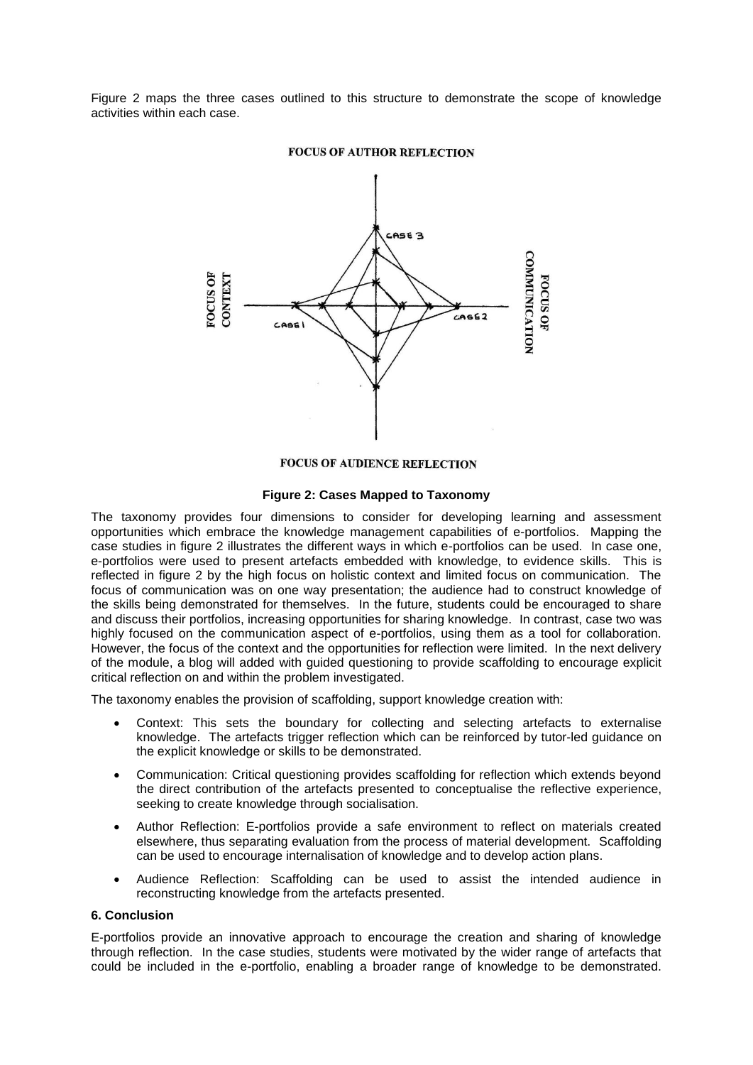Figure 2 maps the three cases outlined to this structure to demonstrate the scope of knowledge activities within each case.



#### **FOCUS OF AUTHOR REFLECTION**

# **FOCUS OF AUDIENCE REFLECTION**

# **Figure 2: Cases Mapped to Taxonomy**

The taxonomy provides four dimensions to consider for developing learning and assessment opportunities which embrace the knowledge management capabilities of e-portfolios. Mapping the case studies in figure 2 illustrates the different ways in which e-portfolios can be used. In case one, e-portfolios were used to present artefacts embedded with knowledge, to evidence skills. This is reflected in figure 2 by the high focus on holistic context and limited focus on communication. The focus of communication was on one way presentation; the audience had to construct knowledge of the skills being demonstrated for themselves. In the future, students could be encouraged to share and discuss their portfolios, increasing opportunities for sharing knowledge. In contrast, case two was highly focused on the communication aspect of e-portfolios, using them as a tool for collaboration. However, the focus of the context and the opportunities for reflection were limited. In the next delivery of the module, a blog will added with guided questioning to provide scaffolding to encourage explicit critical reflection on and within the problem investigated.

The taxonomy enables the provision of scaffolding, support knowledge creation with:

- Context: This sets the boundary for collecting and selecting artefacts to externalise knowledge. The artefacts trigger reflection which can be reinforced by tutor-led guidance on the explicit knowledge or skills to be demonstrated.
- Communication: Critical questioning provides scaffolding for reflection which extends beyond the direct contribution of the artefacts presented to conceptualise the reflective experience, seeking to create knowledge through socialisation.
- Author Reflection: E-portfolios provide a safe environment to reflect on materials created elsewhere, thus separating evaluation from the process of material development. Scaffolding can be used to encourage internalisation of knowledge and to develop action plans.
- Audience Reflection: Scaffolding can be used to assist the intended audience in reconstructing knowledge from the artefacts presented.

## **6. Conclusion**

E-portfolios provide an innovative approach to encourage the creation and sharing of knowledge through reflection. In the case studies, students were motivated by the wider range of artefacts that could be included in the e-portfolio, enabling a broader range of knowledge to be demonstrated.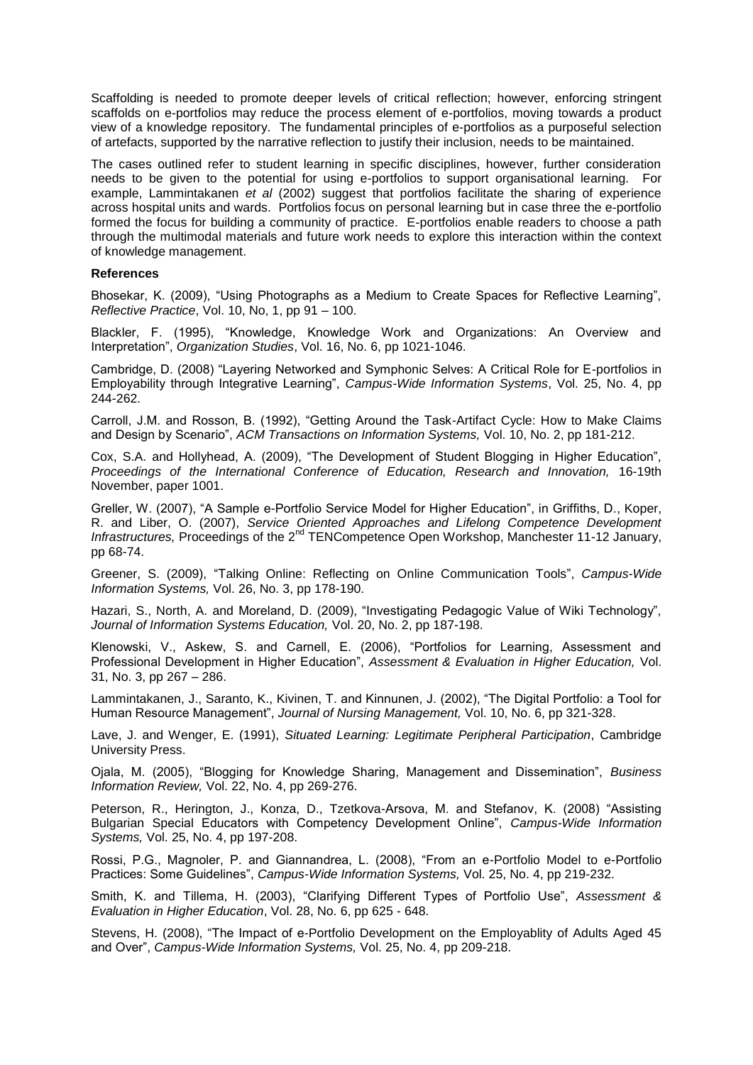Scaffolding is needed to promote deeper levels of critical reflection; however, enforcing stringent scaffolds on e-portfolios may reduce the process element of e-portfolios, moving towards a product view of a knowledge repository. The fundamental principles of e-portfolios as a purposeful selection of artefacts, supported by the narrative reflection to justify their inclusion, needs to be maintained.

The cases outlined refer to student learning in specific disciplines, however, further consideration needs to be given to the potential for using e-portfolios to support organisational learning. For example, Lammintakanen *et al* (2002) suggest that portfolios facilitate the sharing of experience across hospital units and wards. Portfolios focus on personal learning but in case three the e-portfolio formed the focus for building a community of practice. E-portfolios enable readers to choose a path through the multimodal materials and future work needs to explore this interaction within the context of knowledge management.

## **References**

Bhosekar, K. (2009), "Using Photographs as a Medium to Create Spaces for Reflective Learning", *Reflective Practice*, Vol. 10, No, 1, pp 91 – 100.

Blackler, F. (1995), "Knowledge, Knowledge Work and Organizations: An Overview and Interpretation", *Organization Studies*, Vol. 16, No. 6, pp 1021-1046.

Cambridge, D. (2008) "Layering Networked and Symphonic Selves: A Critical Role for E-portfolios in Employability through Integrative Learning", *Campus-Wide Information Systems*, Vol. 25, No. 4, pp 244-262.

Carroll, J.M. and Rosson, B. (1992), "Getting Around the Task-Artifact Cycle: How to Make Claims and Design by Scenario", *ACM Transactions on Information Systems,* Vol. 10, No. 2, pp 181-212.

Cox, S.A. and Hollyhead, A. (2009), "The Development of Student Blogging in Higher Education", *Proceedings of the International Conference of Education, Research and Innovation,* 16-19th November, paper 1001.

Greller, W. (2007), "A Sample e-Portfolio Service Model for Higher Education", in Griffiths, D., Koper, R. and Liber, O. (2007), *Service Oriented Approaches and Lifelong Competence Development Infrastructures,* Proceedings of the 2nd TENCompetence Open Workshop, Manchester 11-12 January, pp 68-74.

Greener, S. (2009), "Talking Online: Reflecting on Online Communication Tools", *Campus-Wide Information Systems,* Vol. 26, No. 3, pp 178-190.

Hazari, S., North, A. and Moreland, D. (2009), "Investigating Pedagogic Value of Wiki Technology", *Journal of Information Systems Education,* Vol. 20, No. 2, pp 187-198.

Klenowski, V., Askew, S. and Carnell, E. (2006), "Portfolios for Learning, Assessment and Professional Development in Higher Education", *Assessment & Evaluation in Higher Education,* Vol. 31, No. 3, pp 267 – 286.

Lammintakanen, J., Saranto, K., Kivinen, T. and Kinnunen, J. (2002), "The Digital Portfolio: a Tool for Human Resource Management", *Journal of Nursing Management,* Vol. 10, No. 6, pp 321-328.

Lave, J. and Wenger, E. (1991), *Situated Learning: Legitimate Peripheral Participation*, Cambridge University Press.

Ojala, M. (2005), "Blogging for Knowledge Sharing, Management and Dissemination", *Business Information Review,* Vol. 22, No. 4, pp 269-276.

Peterson, R., Herington, J., Konza, D., Tzetkova-Arsova, M. and Stefanov, K. (2008) "Assisting Bulgarian Special Educators with Competency Development Online", *Campus-Wide Information Systems,* Vol. 25, No. 4, pp 197-208.

Rossi, P.G., Magnoler, P. and Giannandrea, L. (2008), "From an e-Portfolio Model to e-Portfolio Practices: Some Guidelines", *Campus-Wide Information Systems,* Vol. 25, No. 4, pp 219-232.

Smith, K. and Tillema, H. (2003), "Clarifying Different Types of Portfolio Use", *Assessment & Evaluation in Higher Education*, Vol. 28, No. 6, pp 625 - 648.

Stevens, H. (2008), "The Impact of e-Portfolio Development on the Employablity of Adults Aged 45 and Over", *Campus-Wide Information Systems,* Vol. 25, No. 4, pp 209-218.